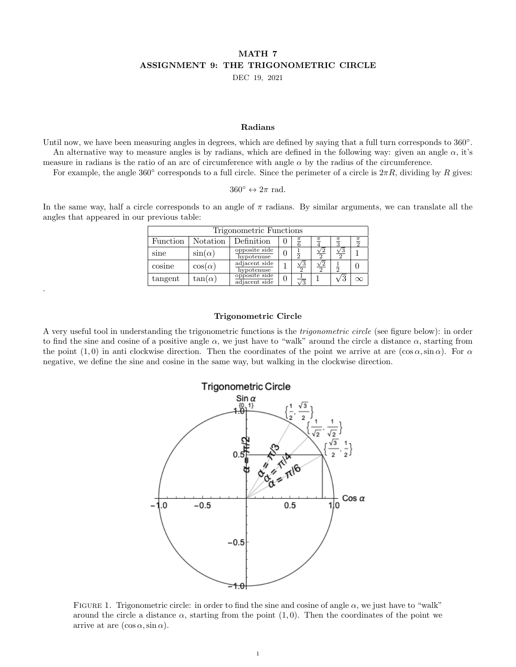# MATH 7 ASSIGNMENT 9: THE TRIGONOMETRIC CIRCLE

DEC 19, 2021

#### Radians

Until now, we have been measuring angles in degrees, which are defined by saying that a full turn corresponds to 360°. An alternative way to measure angles is by radians, which are defined in the following way: given an angle  $\alpha$ , it's measure in radians is the ratio of an arc of circumference with angle  $\alpha$  by the radius of the circumference.

For example, the angle 360 $\degree$  corresponds to a full circle. Since the perimeter of a circle is  $2\pi R$ , dividing by R gives:

 $360^{\circ} \leftrightarrow 2\pi$  rad.

In the same way, half a circle corresponds to an angle of  $\pi$  radians. By similar arguments, we can translate all the angles that appeared in our previous table:

| Trigonometric Functions |                |                                |  |                            |          |            |  |  |  |
|-------------------------|----------------|--------------------------------|--|----------------------------|----------|------------|--|--|--|
| Function                | Notation       | Definition                     |  | $\mathbf{\underline{\pi}}$ |          |            |  |  |  |
| sine                    | $\sin(\alpha)$ | opposite side<br>hypotenuse    |  |                            | $\Omega$ |            |  |  |  |
| cosine                  | $\cos(\alpha)$ | adjacent side<br>hypotenuse    |  | $\frac{\sqrt{3}}{2}$       |          |            |  |  |  |
| tangent                 | $tan(\alpha)$  | opposite side<br>adjacent side |  |                            |          | $\sqrt{3}$ |  |  |  |

#### Trigonometric Circle

.

A very useful tool in understanding the trigonometric functions is the *trigonometric circle* (see figure below): in order to find the sine and cosine of a positive angle  $\alpha$ , we just have to "walk" around the circle a distance  $\alpha$ , starting from the point (1,0) in anti clockwise direction. Then the coordinates of the point we arrive at are (cos  $\alpha$ , sin  $\alpha$ ). For  $\alpha$ negative, we define the sine and cosine in the same way, but walking in the clockwise direction.



<span id="page-0-0"></span>FIGURE 1. Trigonometric circle: in order to find the sine and cosine of angle  $\alpha$ , we just have to "walk" around the circle a distance  $\alpha$ , starting from the point (1,0). Then the coordinates of the point we arrive at are  $(\cos \alpha, \sin \alpha)$ .